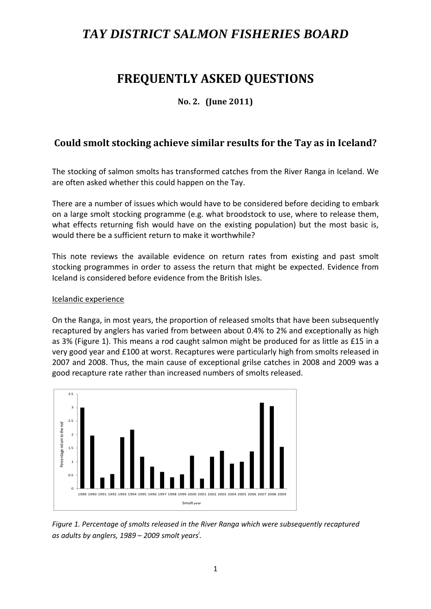# *TAY DISTRICT SALMON FISHERIES BOARD*

# **FREQUENTLY ASKED QUESTIONS**

## **No. 2. (June 2011)**

# **Could smolt stocking achieve similar results for the Tay as in Iceland?**

The stocking of salmon smolts has transformed catches from the River Ranga in Iceland. We are often asked whether this could happen on the Tay.

There are a number of issues which would have to be considered before deciding to embark on a large smolt stocking programme (e.g. what broodstock to use, where to release them, what effects returning fish would have on the existing population) but the most basic is, would there be a sufficient return to make it worthwhile?

This note reviews the available evidence on return rates from existing and past smolt stocking programmes in order to assess the return that might be expected. Evidence from Iceland is considered before evidence from the British Isles.

#### Icelandic experience

On the Ranga, in most years, the proportion of released smolts that have been subsequently recaptured by anglers has varied from between about 0.4% to 2% and exceptionally as high as 3% (Figure 1). This means a rod caught salmon might be produced for as little as £15 in a very good year and £100 at worst. Recaptures were particularly high from smolts released in 2007 and 2008. Thus, the main cause of exceptional grilse catches in 2008 and 2009 was a good recapture rate rather than increased numbers of smolts released.



*Figure 1. Percentage of smolts released in the River Ranga which were subsequently recaptured as adults by anglers, 1989 – 2009 smolt years<sup>i</sup> .*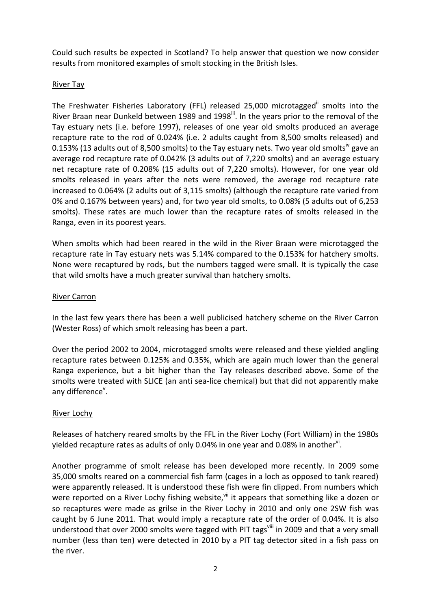Could such results be expected in Scotland? To help answer that question we now consider results from monitored examples of smolt stocking in the British Isles.

#### River Tay

The Freshwater Fisheries Laboratory (FFL) released 25,000 microtagged<sup>ii</sup> smolts into the River Braan near Dunkeld between 1989 and 1998<sup>iii</sup>. In the years prior to the removal of the Tay estuary nets (i.e. before 1997), releases of one year old smolts produced an average recapture rate to the rod of 0.024% (i.e. 2 adults caught from 8,500 smolts released) and 0.153% (13 adults out of 8,500 smolts) to the Tay estuary nets. Two year old smolts<sup>iv</sup> gave an average rod recapture rate of 0.042% (3 adults out of 7,220 smolts) and an average estuary net recapture rate of 0.208% (15 adults out of 7,220 smolts). However, for one year old smolts released in years after the nets were removed, the average rod recapture rate increased to 0.064% (2 adults out of 3,115 smolts) (although the recapture rate varied from 0% and 0.167% between years) and, for two year old smolts, to 0.08% (5 adults out of 6,253 smolts). These rates are much lower than the recapture rates of smolts released in the Ranga, even in its poorest years.

When smolts which had been reared in the wild in the River Braan were microtagged the recapture rate in Tay estuary nets was 5.14% compared to the 0.153% for hatchery smolts. None were recaptured by rods, but the numbers tagged were small. It is typically the case that wild smolts have a much greater survival than hatchery smolts.

#### River Carron

In the last few years there has been a well publicised hatchery scheme on the River Carron (Wester Ross) of which smolt releasing has been a part.

Over the period 2002 to 2004, microtagged smolts were released and these yielded angling recapture rates between 0.125% and 0.35%, which are again much lower than the general Ranga experience, but a bit higher than the Tay releases described above. Some of the smolts were treated with SLICE (an anti sea-lice chemical) but that did not apparently make any difference<sup>v</sup>.

#### River Lochy

Releases of hatchery reared smolts by the FFL in the River Lochy (Fort William) in the 1980s yielded recapture rates as adults of only 0.04% in one year and 0.08% in another<sup>vi</sup>.

Another programme of smolt release has been developed more recently. In 2009 some 35,000 smolts reared on a commercial fish farm (cages in a loch as opposed to tank reared) were apparently released. It is understood these fish were fin clipped. From numbers which were reported on a River Lochy fishing website,<sup>vii</sup> it appears that something like a dozen or so recaptures were made as grilse in the River Lochy in 2010 and only one 2SW fish was caught by 6 June 2011. That would imply a recapture rate of the order of 0.04%. It is also understood that over 2000 smolts were tagged with PIT tags<sup>viii</sup> in 2009 and that a very small number (less than ten) were detected in 2010 by a PIT tag detector sited in a fish pass on the river.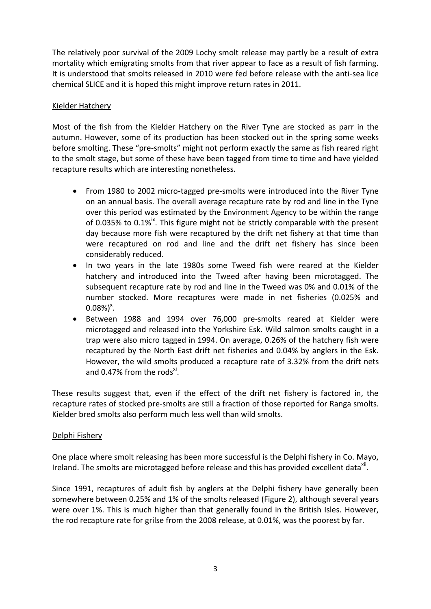The relatively poor survival of the 2009 Lochy smolt release may partly be a result of extra mortality which emigrating smolts from that river appear to face as a result of fish farming. It is understood that smolts released in 2010 were fed before release with the anti-sea lice chemical SLICE and it is hoped this might improve return rates in 2011.

## Kielder Hatchery

Most of the fish from the Kielder Hatchery on the River Tyne are stocked as parr in the autumn. However, some of its production has been stocked out in the spring some weeks before smolting. These "pre-smolts" might not perform exactly the same as fish reared right to the smolt stage, but some of these have been tagged from time to time and have yielded recapture results which are interesting nonetheless.

- From 1980 to 2002 micro-tagged pre-smolts were introduced into the River Tyne on an annual basis. The overall average recapture rate by rod and line in the Tyne over this period was estimated by the Environment Agency to be within the range of 0.035% to 0.1% $^{\text{ix}}$ . This figure might not be strictly comparable with the present day because more fish were recaptured by the drift net fishery at that time than were recaptured on rod and line and the drift net fishery has since been considerably reduced.
- In two years in the late 1980s some Tweed fish were reared at the Kielder hatchery and introduced into the Tweed after having been microtagged. The subsequent recapture rate by rod and line in the Tweed was 0% and 0.01% of the number stocked. More recaptures were made in net fisheries (0.025% and  $0.08\%$ <sup>x</sup>.
- Between 1988 and 1994 over 76,000 pre-smolts reared at Kielder were microtagged and released into the Yorkshire Esk. Wild salmon smolts caught in a trap were also micro tagged in 1994. On average, 0.26% of the hatchery fish were recaptured by the North East drift net fisheries and 0.04% by anglers in the Esk. However, the wild smolts produced a recapture rate of 3.32% from the drift nets and 0.47% from the rods $x^i$ .

These results suggest that, even if the effect of the drift net fishery is factored in, the recapture rates of stocked pre-smolts are still a fraction of those reported for Ranga smolts. Kielder bred smolts also perform much less well than wild smolts.

## Delphi Fishery

One place where smolt releasing has been more successful is the Delphi fishery in Co. Mayo, Ireland. The smolts are microtagged before release and this has provided excellent data<sup>xii</sup>.

Since 1991, recaptures of adult fish by anglers at the Delphi fishery have generally been somewhere between 0.25% and 1% of the smolts released (Figure 2), although several years were over 1%. This is much higher than that generally found in the British Isles. However, the rod recapture rate for grilse from the 2008 release, at 0.01%, was the poorest by far.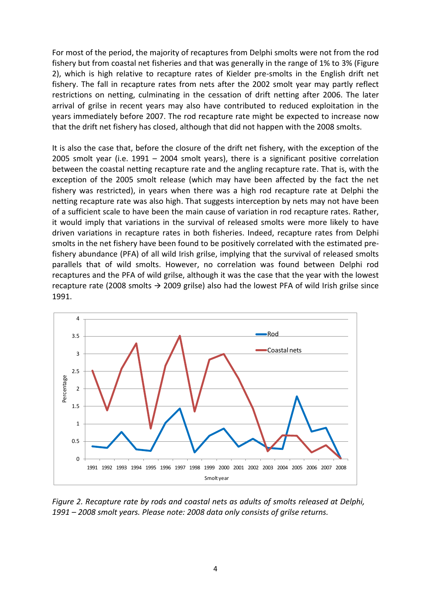For most of the period, the majority of recaptures from Delphi smolts were not from the rod fishery but from coastal net fisheries and that was generally in the range of 1% to 3% (Figure 2), which is high relative to recapture rates of Kielder pre-smolts in the English drift net fishery. The fall in recapture rates from nets after the 2002 smolt year may partly reflect restrictions on netting, culminating in the cessation of drift netting after 2006. The later arrival of grilse in recent years may also have contributed to reduced exploitation in the years immediately before 2007. The rod recapture rate might be expected to increase now that the drift net fishery has closed, although that did not happen with the 2008 smolts.

It is also the case that, before the closure of the drift net fishery, with the exception of the 2005 smolt year (i.e. 1991 – 2004 smolt years), there is a significant positive correlation between the coastal netting recapture rate and the angling recapture rate. That is, with the exception of the 2005 smolt release (which may have been affected by the fact the net fishery was restricted), in years when there was a high rod recapture rate at Delphi the netting recapture rate was also high. That suggests interception by nets may not have been of a sufficient scale to have been the main cause of variation in rod recapture rates. Rather, it would imply that variations in the survival of released smolts were more likely to have driven variations in recapture rates in both fisheries. Indeed, recapture rates from Delphi smolts in the net fishery have been found to be positively correlated with the estimated prefishery abundance (PFA) of all wild Irish grilse, implying that the survival of released smolts parallels that of wild smolts. However, no correlation was found between Delphi rod recaptures and the PFA of wild grilse, although it was the case that the year with the lowest recapture rate (2008 smolts  $\rightarrow$  2009 grilse) also had the lowest PFA of wild Irish grilse since 1991.



*Figure 2. Recapture rate by rods and coastal nets as adults of smolts released at Delphi, 1991 – 2008 smolt years. Please note: 2008 data only consists of grilse returns.*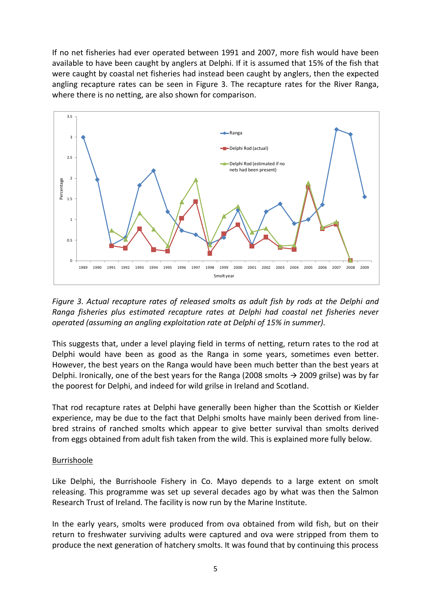If no net fisheries had ever operated between 1991 and 2007, more fish would have been available to have been caught by anglers at Delphi. If it is assumed that 15% of the fish that were caught by coastal net fisheries had instead been caught by anglers, then the expected angling recapture rates can be seen in Figure 3. The recapture rates for the River Ranga, where there is no netting, are also shown for comparison.



*Figure 3. Actual recapture rates of released smolts as adult fish by rods at the Delphi and Ranga fisheries plus estimated recapture rates at Delphi had coastal net fisheries never operated (assuming an angling exploitation rate at Delphi of 15% in summer).*

This suggests that, under a level playing field in terms of netting, return rates to the rod at Delphi would have been as good as the Ranga in some years, sometimes even better. However, the best years on the Ranga would have been much better than the best years at Delphi. Ironically, one of the best years for the Ranga (2008 smolts  $\rightarrow$  2009 grilse) was by far the poorest for Delphi, and indeed for wild grilse in Ireland and Scotland.

That rod recapture rates at Delphi have generally been higher than the Scottish or Kielder experience, may be due to the fact that Delphi smolts have mainly been derived from linebred strains of ranched smolts which appear to give better survival than smolts derived from eggs obtained from adult fish taken from the wild. This is explained more fully below.

#### Burrishoole

Like Delphi, the Burrishoole Fishery in Co. Mayo depends to a large extent on smolt releasing. This programme was set up several decades ago by what was then the Salmon Research Trust of Ireland. The facility is now run by the Marine Institute.

In the early years, smolts were produced from ova obtained from wild fish, but on their return to freshwater surviving adults were captured and ova were stripped from them to produce the next generation of hatchery smolts. It was found that by continuing this process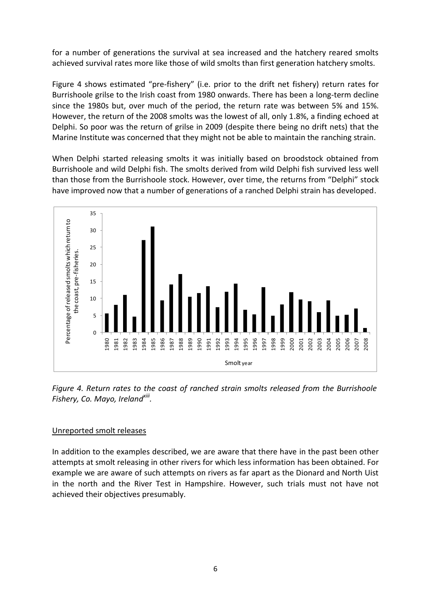for a number of generations the survival at sea increased and the hatchery reared smolts achieved survival rates more like those of wild smolts than first generation hatchery smolts.

Figure 4 shows estimated "pre-fishery" (i.e. prior to the drift net fishery) return rates for Burrishoole grilse to the Irish coast from 1980 onwards. There has been a long-term decline since the 1980s but, over much of the period, the return rate was between 5% and 15%. However, the return of the 2008 smolts was the lowest of all, only 1.8%, a finding echoed at Delphi. So poor was the return of grilse in 2009 (despite there being no drift nets) that the Marine Institute was concerned that they might not be able to maintain the ranching strain.

When Delphi started releasing smolts it was initially based on broodstock obtained from Burrishoole and wild Delphi fish. The smolts derived from wild Delphi fish survived less well than those from the Burrishoole stock. However, over time, the returns from "Delphi" stock have improved now that a number of generations of a ranched Delphi strain has developed.



*Figure 4. Return rates to the coast of ranched strain smolts released from the Burrishoole Fishery, Co. Mayo, Irelandxiii .*

## Unreported smolt releases

In addition to the examples described, we are aware that there have in the past been other attempts at smolt releasing in other rivers for which less information has been obtained. For example we are aware of such attempts on rivers as far apart as the Dionard and North Uist in the north and the River Test in Hampshire. However, such trials must not have not achieved their objectives presumably.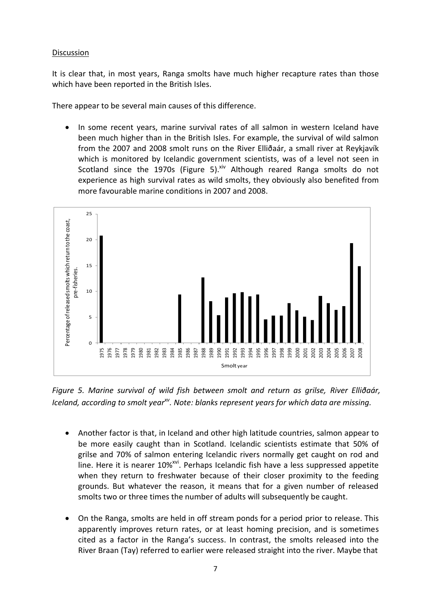#### Discussion

It is clear that, in most years, Ranga smolts have much higher recapture rates than those which have been reported in the British Isles.

There appear to be several main causes of this difference.

 In some recent years, marine survival rates of all salmon in western Iceland have been much higher than in the British Isles. For example, the survival of wild salmon from the 2007 and 2008 smolt runs on the River Elliðaár, a small river at Reykjavík which is monitored by Icelandic government scientists, was of a level not seen in Scotland since the 1970s (Figure 5). $x^i$  Although reared Ranga smolts do not experience as high survival rates as wild smolts, they obviously also benefited from more favourable marine conditions in 2007 and 2008.



*Figure 5. Marine survival of wild fish between smolt and return as grilse, River Elliðaár, Iceland, according to smolt yearxv . Note: blanks represent years for which data are missing.*

- Another factor is that, in Iceland and other high latitude countries, salmon appear to be more easily caught than in Scotland. Icelandic scientists estimate that 50% of grilse and 70% of salmon entering Icelandic rivers normally get caught on rod and line. Here it is nearer 10%<sup>xvi</sup>. Perhaps Icelandic fish have a less suppressed appetite when they return to freshwater because of their closer proximity to the feeding grounds. But whatever the reason, it means that for a given number of released smolts two or three times the number of adults will subsequently be caught.
- On the Ranga, smolts are held in off stream ponds for a period prior to release. This apparently improves return rates, or at least homing precision, and is sometimes cited as a factor in the Ranga's success. In contrast, the smolts released into the River Braan (Tay) referred to earlier were released straight into the river. Maybe that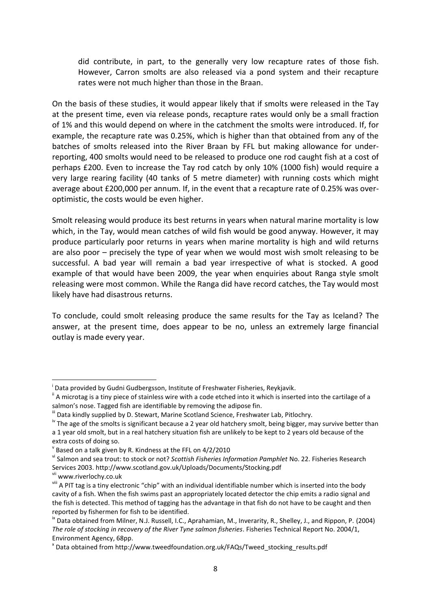did contribute, in part, to the generally very low recapture rates of those fish. However, Carron smolts are also released via a pond system and their recapture rates were not much higher than those in the Braan.

On the basis of these studies, it would appear likely that if smolts were released in the Tay at the present time, even via release ponds, recapture rates would only be a small fraction of 1% and this would depend on where in the catchment the smolts were introduced. If, for example, the recapture rate was 0.25%, which is higher than that obtained from any of the batches of smolts released into the River Braan by FFL but making allowance for underreporting, 400 smolts would need to be released to produce one rod caught fish at a cost of perhaps £200. Even to increase the Tay rod catch by only 10% (1000 fish) would require a very large rearing facility (40 tanks of 5 metre diameter) with running costs which might average about £200,000 per annum. If, in the event that a recapture rate of 0.25% was overoptimistic, the costs would be even higher.

Smolt releasing would produce its best returns in years when natural marine mortality is low which, in the Tay, would mean catches of wild fish would be good anyway. However, it may produce particularly poor returns in years when marine mortality is high and wild returns are also poor – precisely the type of year when we would most wish smolt releasing to be successful. A bad year will remain a bad year irrespective of what is stocked. A good example of that would have been 2009, the year when enquiries about Ranga style smolt releasing were most common. While the Ranga did have record catches, the Tay would most likely have had disastrous returns.

To conclude, could smolt releasing produce the same results for the Tay as Iceland? The answer, at the present time, does appear to be no, unless an extremely large financial outlay is made every year.

1

i Data provided by Gudni Gudbergsson, Institute of Freshwater Fisheries, Reykjavik.

 $\mathbb{I}$  A microtag is a tiny piece of stainless wire with a code etched into it which is inserted into the cartilage of a salmon's nose. Tagged fish are identifiable by removing the adipose fin.

III Data kindly supplied by D. Stewart, Marine Scotland Science, Freshwater Lab, Pitlochry.

 $\frac{1}{2}$  The age of the smolts is significant because a 2 year old hatchery smolt, being bigger, may survive better than a 1 year old smolt, but in a real hatchery situation fish are unlikely to be kept to 2 years old because of the extra costs of doing so.

 $\rm v$  Based on a talk given by R. Kindness at the FFL on 4/2/2010

vi Salmon and sea trout: to stock or not? *Scottish Fisheries Information Pamphlet* No. 22. Fisheries Research Services 2003. http://www.scotland.gov.uk/Uploads/Documents/Stocking.pdf

vii www.riverlochy.co.uk

viii A PIT tag is a tiny electronic "chip" with an individual identifiable number which is inserted into the body cavity of a fish. When the fish swims past an appropriately located detector the chip emits a radio signal and the fish is detected. This method of tagging has the advantage in that fish do not have to be caught and then reported by fishermen for fish to be identified.

<sup>&</sup>lt;sup>ix</sup> Data obtained from Milner, N.J. Russell, I.C., Aprahamian, M., Inverarity, R., Shelley, J., and Rippon, P. (2004) *The role of stocking in recovery of the River Tyne salmon fisheries*. Fisheries Technical Report No. 2004/1, Environment Agency, 68pp.

x Data obtained from http://www.tweedfoundation.org.uk/FAQs/Tweed\_stocking\_results.pdf